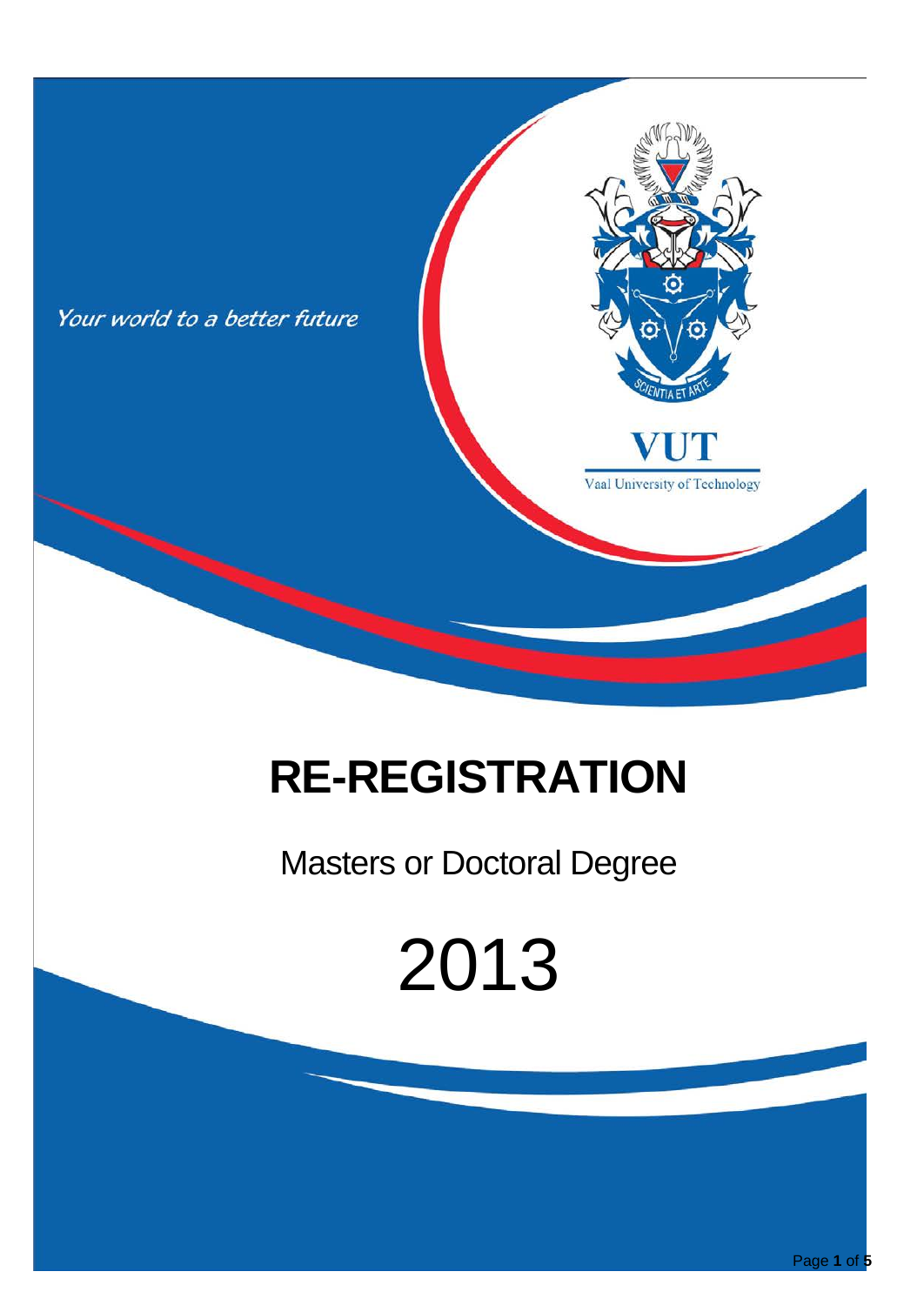

## **RE-REGISTRATION**

### Masters or Doctoral Degree

# 2013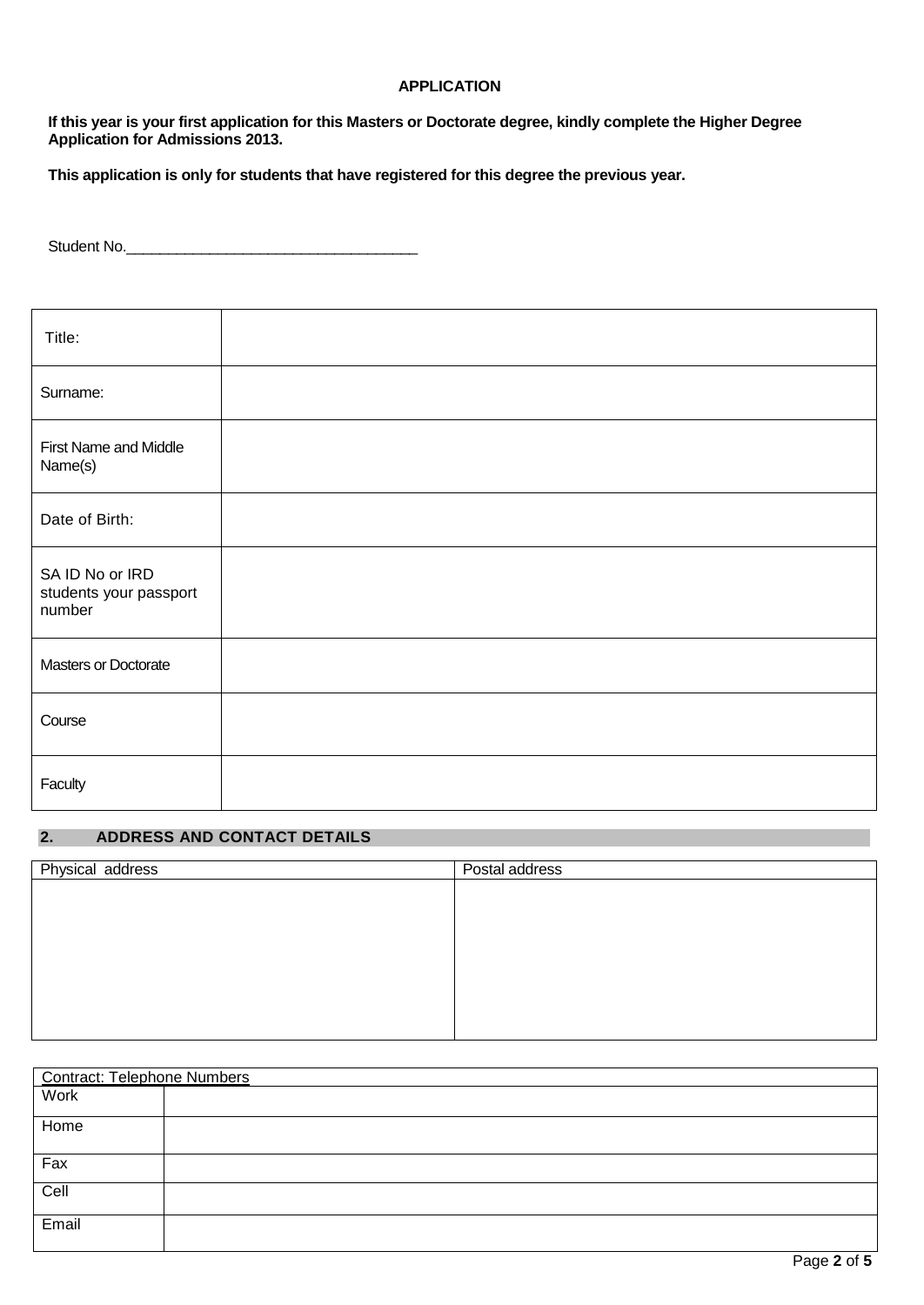#### **APPLICATION**

**If this year is your first application for this Masters or Doctorate degree, kindly complete the Higher Degree Application for Admissions 2013.** 

**This application is only for students that have registered for this degree the previous year.**

Student No.\_\_\_\_\_\_\_\_\_\_\_\_\_\_\_\_\_\_\_\_\_\_\_\_\_\_\_\_\_\_\_\_\_\_\_

| Title:                                              |  |
|-----------------------------------------------------|--|
| Surname:                                            |  |
| <b>First Name and Middle</b><br>Name(s)             |  |
| Date of Birth:                                      |  |
| SA ID No or IRD<br>students your passport<br>number |  |
| Masters or Doctorate                                |  |
| Course                                              |  |
| Faculty                                             |  |

#### **2. ADDRESS AND CONTACT DETAILS**

| Physical address | Postal address |  |  |
|------------------|----------------|--|--|
|                  |                |  |  |
|                  |                |  |  |
|                  |                |  |  |
|                  |                |  |  |
|                  |                |  |  |
|                  |                |  |  |
|                  |                |  |  |
|                  |                |  |  |
|                  |                |  |  |
|                  |                |  |  |

| <b>Contract: Telephone Numbers</b> |  |
|------------------------------------|--|
| Work                               |  |
| Home                               |  |
| Fax                                |  |
| Cell                               |  |
| Email                              |  |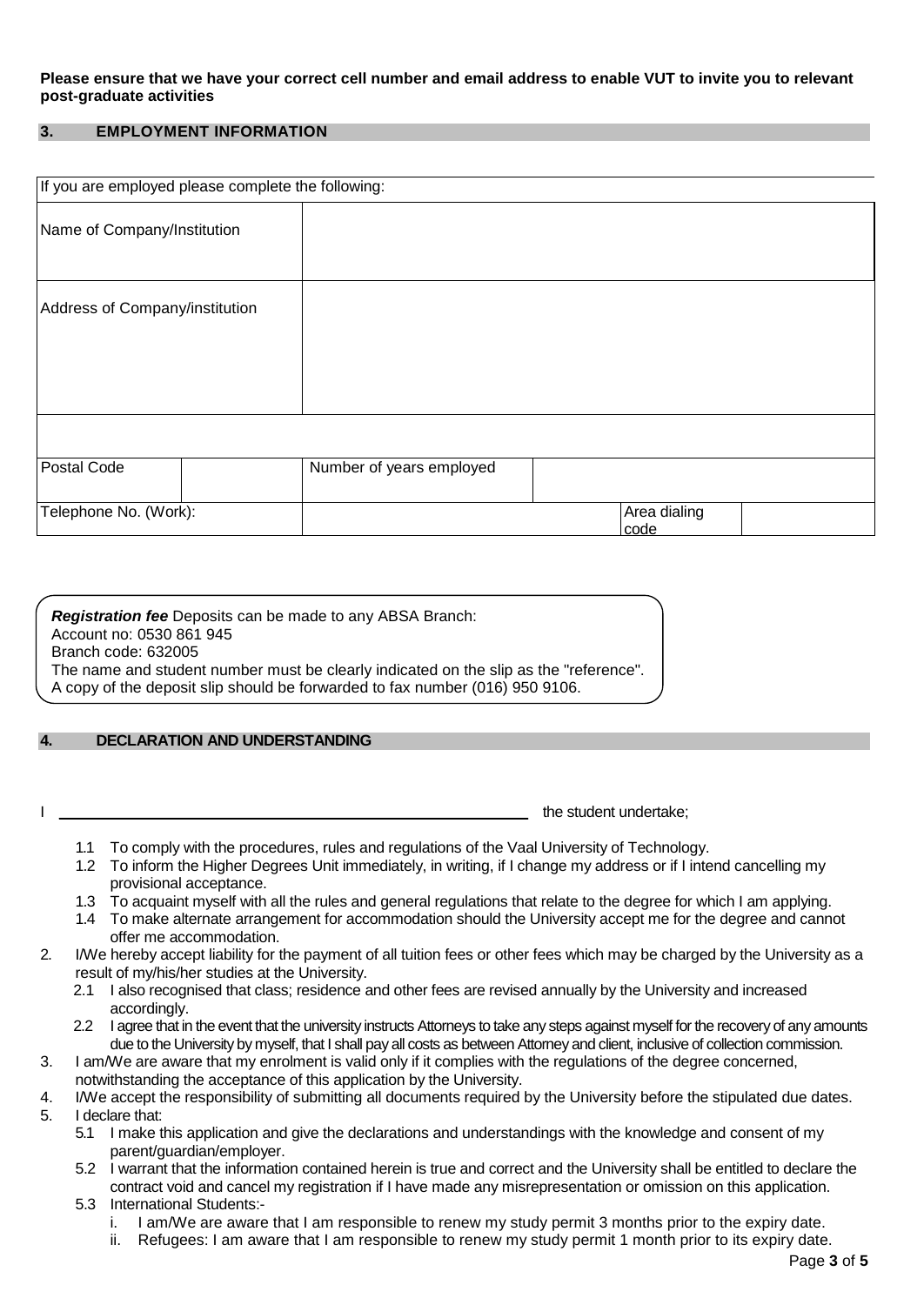#### **Please ensure that we have your correct cell number and email address to enable VUT to invite you to relevant post-graduate activities**

#### **3. EMPLOYMENT INFORMATION**

| If you are employed please complete the following: |                          |  |              |  |
|----------------------------------------------------|--------------------------|--|--------------|--|
| Name of Company/Institution                        |                          |  |              |  |
| Address of Company/institution                     |                          |  |              |  |
| Postal Code                                        | Number of years employed |  |              |  |
| Telephone No. (Work):                              |                          |  | Area dialing |  |
|                                                    |                          |  | code         |  |

*Registration fee* Deposits can be made to any ABSA Branch: Account no: 0530 861 945 Branch code: 632005 The name and student number must be clearly indicated on the slip as the "reference". A copy of the deposit slip should be forwarded to fax number (016) 950 9106.

#### **4. DECLARATION AND UNDERSTANDING**

I the student undertake; the student undertake;

- 1.1 To comply with the procedures, rules and regulations of the Vaal University of Technology.
- 1.2 To inform the Higher Degrees Unit immediately, in writing, if I change my address or if I intend cancelling my provisional acceptance.
- 1.3 To acquaint myself with all the rules and general regulations that relate to the degree for which I am applying.
- 1.4 To make alternate arrangement for accommodation should the University accept me for the degree and cannot offer me accommodation.
- 2. I/We hereby accept liability for the payment of all tuition fees or other fees which may be charged by the University as a result of my/his/her studies at the University.
	- 2.1 I also recognised that class; residence and other fees are revised annually by the University and increased accordingly.
	- 2.2 I agree that in the event that the university instructs Attorneys to take any steps against myself for the recovery of any amounts due to the University by myself, that I shall pay all costs as between Attorney and client, inclusive of collection commission.
- 3. I am/We are aware that my enrolment is valid only if it complies with the regulations of the degree concerned, notwithstanding the acceptance of this application by the University.
- 
- 4. I/We accept the responsibility of submitting all documents required by the University before the stipulated due dates.<br>5. I declare that: 5. I declare that:
	- 5.1 I make this application and give the declarations and understandings with the knowledge and consent of my parent/guardian/employer.
	- 5.2 I warrant that the information contained herein is true and correct and the University shall be entitled to declare the contract void and cancel my registration if I have made any misrepresentation or omission on this application.
	- 5.3 International Students:
		- i. I am/We are aware that I am responsible to renew my study permit 3 months prior to the expiry date.
		- ii. Refugees: I am aware that I am responsible to renew my study permit 1 month prior to its expiry date.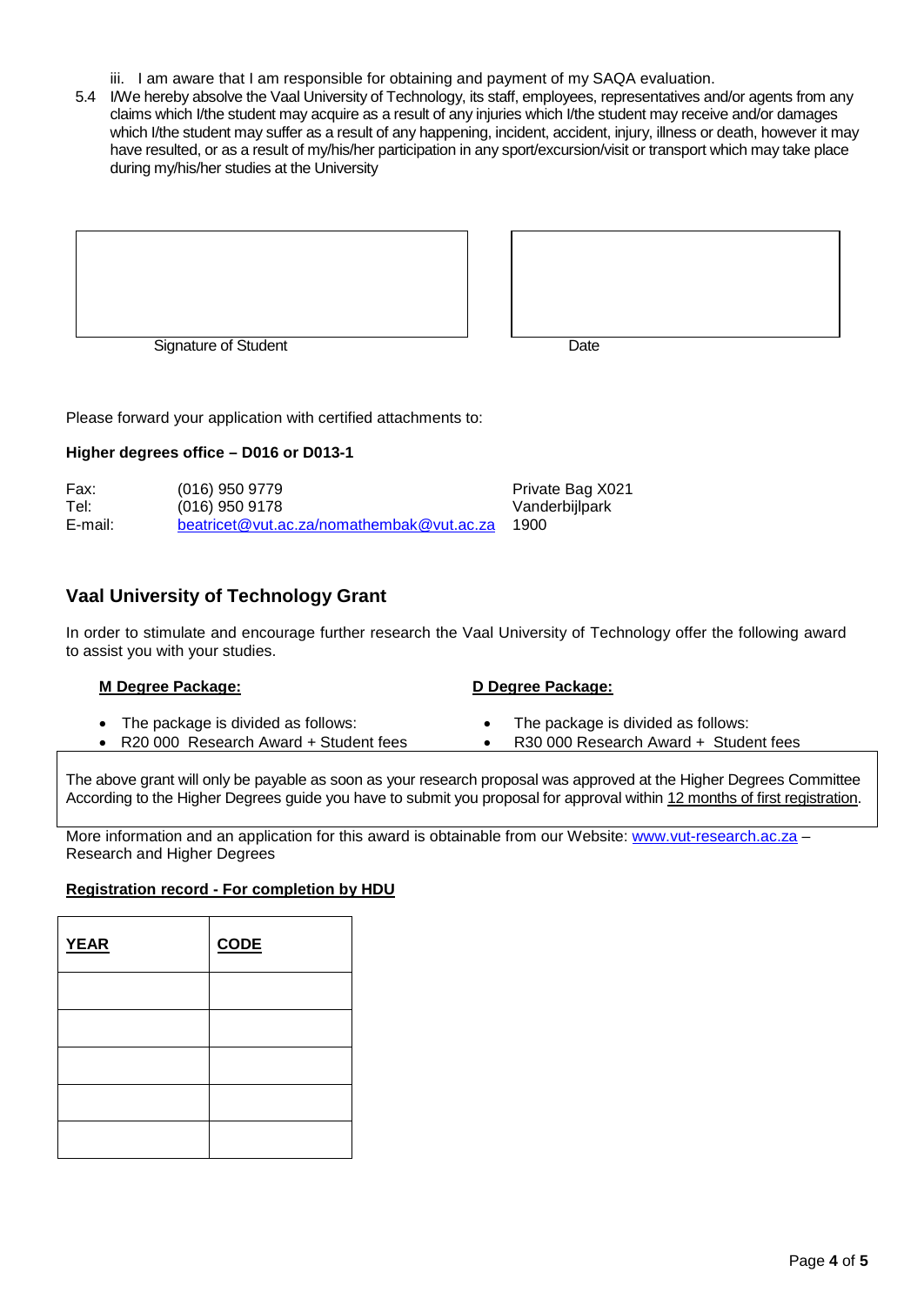- iii. I am aware that I am responsible for obtaining and payment of my SAQA evaluation.
- 5.4 I/We hereby absolve the Vaal University of Technology, its staff, employees, representatives and/or agents from any claims which I/the student may acquire as a result of any injuries which I/the student may receive and/or damages which I/the student may suffer as a result of any happening, incident, accident, injury, illness or death, however it may have resulted, or as a result of my/his/her participation in any sport/excursion/visit or transport which may take place during my/his/her studies at the University





Please forward your application with certified attachments to:

#### **Higher degrees office – D016 or D013-1**

| Fax:    | $(016)$ 950 9779                          | Private Bag X021 |
|---------|-------------------------------------------|------------------|
| Tel:    | $(016)$ 950 9178                          | Vanderbijlpark   |
| E-mail: | beatricet@vut.ac.za/nomathembak@vut.ac.za | 1900             |

#### **Vaal University of Technology Grant**

In order to stimulate and encourage further research the Vaal University of Technology offer the following award to assist you with your studies.

| M Degree Package: |                                                                               | D Degree Package: |                                                                             |  |
|-------------------|-------------------------------------------------------------------------------|-------------------|-----------------------------------------------------------------------------|--|
|                   | The package is divided as follows:<br>• R20 000 Research Award + Student fees |                   | The package is divided as follows:<br>R30 000 Research Award + Student fees |  |
|                   |                                                                               |                   |                                                                             |  |

The above grant will only be payable as soon as your research proposal was approved at the Higher Degrees Committee According to the Higher Degrees guide you have to submit you proposal for approval within 12 months of first registration.

More information and an application for this award is obtainable from our Website: [www.vut-research.ac.za](http://www.vut-research.ac.za/) -Research and Higher Degrees

#### **Registration record - For completion by HDU**

| <b>YEAR</b> | <b>CODE</b> |
|-------------|-------------|
|             |             |
|             |             |
|             |             |
|             |             |
|             |             |